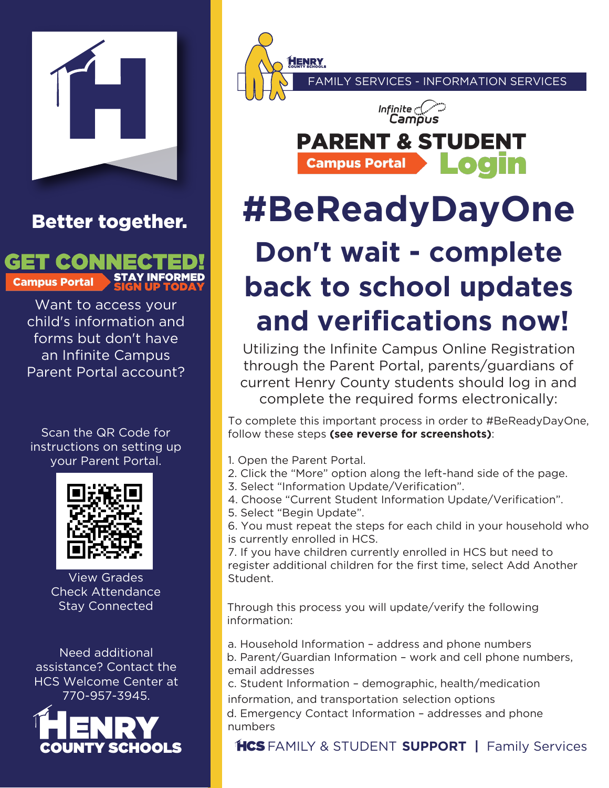

## Better together.



Want to access your child's information and [forms but don't have](https://schoolwires.henry.k12.ga.us/Page/174)  an Infinite Campus Parent Portal account?

Scan the QR Code for instructions on setting up your Parent Portal.



View Grades Check Attendance Stay Connected

Need additional assistance? Contact the HCS Welcome Center at 770-957-3945.



FAMILY SERVICES - INFORMATION SERVICES



## **#BeReadyDayOne Don't wait - complete**

## **back to school updates and verifications now!**

Utilizing the Infinite Campus Online Registration through the Parent Portal, parents/guardians of current Henry County students should log in and complete the required forms electronically:

To complete this important process in order to #BeReadyDayOne, follow these steps **(see reverse for screenshots)**:

1. Open the Parent Portal.

**HENRY** 

- 2. Click the "More" option along the left-hand side of the page.
- 3. Select "Information Update/Verification".
- 4. Choose "Current Student Information Update/Verification".
- 5. Select "Begin Update".

6. You must repeat the steps for each child in your household who is currently enrolled in HCS.

7. If you have children currently enrolled in HCS but need to register additional children for the first time, select Add Another Student.

Through this process you will update/verify the following information:

a. Household Information – address and phone numbers b. Parent/Guardian Information – work and cell phone numbers, email addresses

c. Student Information – demographic, health/medication information, and transportation selection options

d. Emergency Contact Information – addresses and phone numbers

## CS FAMILY & STUDENT **SUPPORT |** Family Services